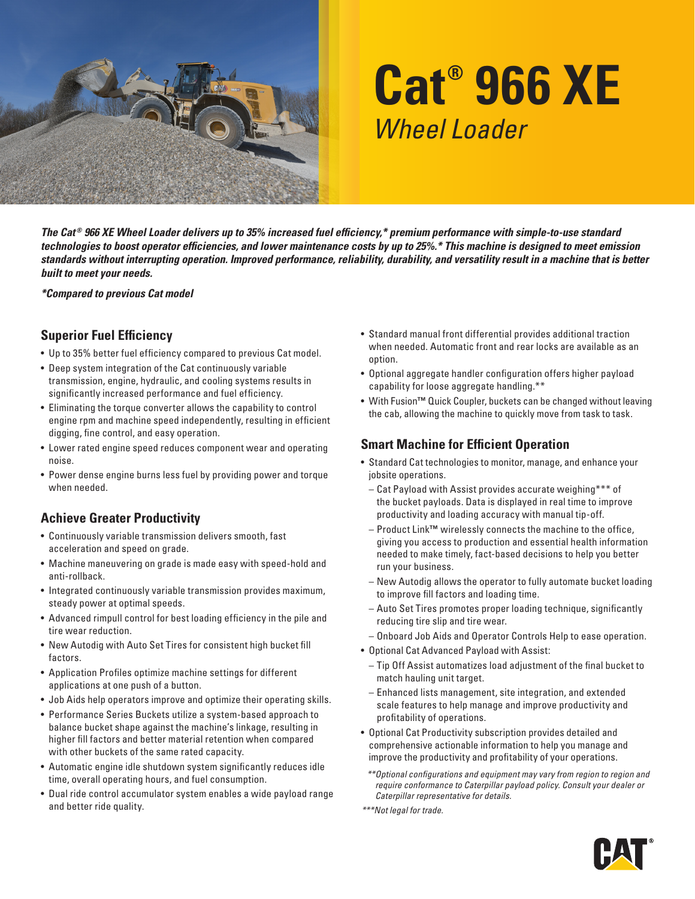

# **Cat® 966 XE** *Wheel Loader*

*The Cat ® 966 XE Wheel Loader delivers up to 35% increased fuel efficiency,\* premium performance with simple-to-use standard technologies to boost operator efficiencies, and lower maintenance costs by up to 25%.\* This machine is designed to meet emission standards without interrupting operation. Improved performance, reliability, durability, and versatility result in a machine that is better built to meet your needs.*

*\*Compared to previous Cat model*

### **Superior Fuel Efficiency**

- Up to 35% better fuel efficiency compared to previous Cat model.
- Deep system integration of the Cat continuously variable transmission, engine, hydraulic, and cooling systems results in significantly increased performance and fuel efficiency.
- Eliminating the torque converter allows the capability to control engine rpm and machine speed independently, resulting in efficient digging, fine control, and easy operation.
- Lower rated engine speed reduces component wear and operating noise.
- Power dense engine burns less fuel by providing power and torque when needed.

# **Achieve Greater Productivity**

- Continuously variable transmission delivers smooth, fast acceleration and speed on grade.
- Machine maneuvering on grade is made easy with speed-hold and anti-rollback.
- Integrated continuously variable transmission provides maximum, steady power at optimal speeds.
- Advanced rimpull control for best loading efficiency in the pile and tire wear reduction.
- New Autodig with Auto Set Tires for consistent high bucket fill factors.
- Application Profiles optimize machine settings for different applications at one push of a button.
- Job Aids help operators improve and optimize their operating skills.
- Performance Series Buckets utilize a system-based approach to balance bucket shape against the machine's linkage, resulting in higher fill factors and better material retention when compared with other buckets of the same rated capacity.
- Automatic engine idle shutdown system significantly reduces idle time, overall operating hours, and fuel consumption.
- Dual ride control accumulator system enables a wide payload range and better ride quality.
- Standard manual front differential provides additional traction when needed. Automatic front and rear locks are available as an option.
- Optional aggregate handler configuration offers higher payload capability for loose aggregate handling.\*\*
- With Fusion**™** Quick Coupler, buckets can be changed without leaving the cab, allowing the machine to quickly move from task to task.

# **Smart Machine for Efficient Operation**

- Standard Cat technologies to monitor, manage, and enhance your jobsite operations.
	- Cat Payload with Assist provides accurate weighing\*\*\* of the bucket payloads. Data is displayed in real time to improve productivity and loading accuracy with manual tip-off.
	- Product Link**™** wirelessly connects the machine to the office, giving you access to production and essential health information needed to make timely, fact-based decisions to help you better run your business.
	- New Autodig allows the operator to fully automate bucket loading to improve fill factors and loading time.
	- Auto Set Tires promotes proper loading technique, significantly reducing tire slip and tire wear.
	- Onboard Job Aids and Operator Controls Help to ease operation.
- Optional Cat Advanced Payload with Assist:
	- Tip Off Assist automatizes load adjustment of the final bucket to match hauling unit target.
	- Enhanced lists management, site integration, and extended scale features to help manage and improve productivity and profitability of operations.
- Optional Cat Productivity subscription provides detailed and comprehensive actionable information to help you manage and improve the productivity and profitability of your operations.
- *\*\*Optional configurations and equipment may vary from region to region and require conformance to Caterpillar payload policy. Consult your dealer or Caterpillar representative for details.*
- *\*\*\*Not legal for trade.*

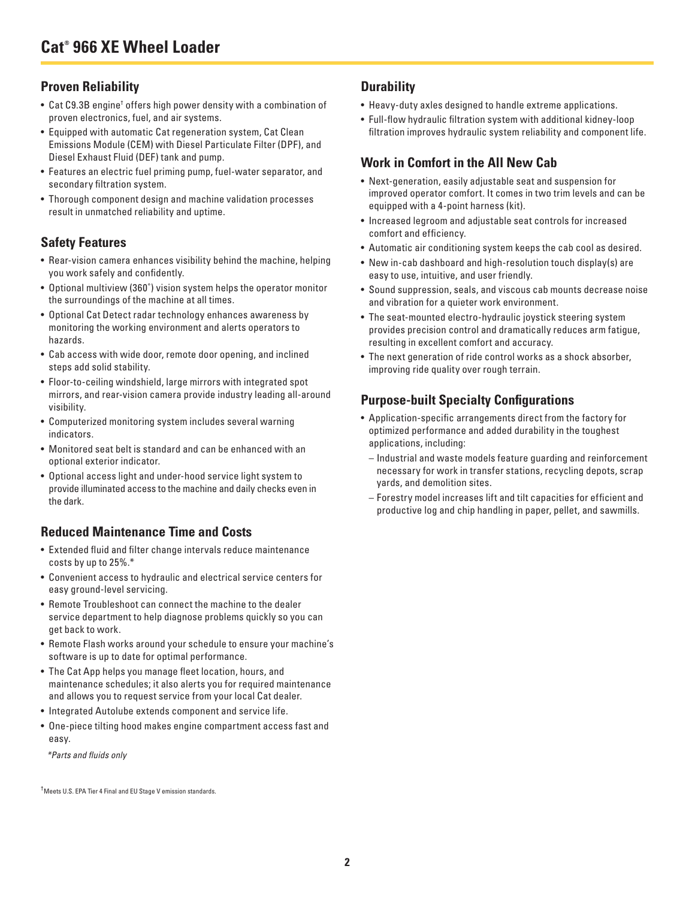## **Proven Reliability**

- $\bullet\,$  Cat C9.3B engine† offers high power density with a combination of proven electronics, fuel, and air systems.
- Equipped with automatic Cat regeneration system, Cat Clean Emissions Module (CEM) with Diesel Particulate Filter (DPF), and Diesel Exhaust Fluid (DEF) tank and pump.
- Features an electric fuel priming pump, fuel-water separator, and secondary filtration system.
- Thorough component design and machine validation processes result in unmatched reliability and uptime.

## **Safety Features**

- Rear-vision camera enhances visibility behind the machine, helping you work safely and confidently.
- Optional multiview (360˚) vision system helps the operator monitor the surroundings of the machine at all times.
- Optional Cat Detect radar technology enhances awareness by monitoring the working environment and alerts operators to hazards.
- Cab access with wide door, remote door opening, and inclined steps add solid stability.
- Floor-to-ceiling windshield, large mirrors with integrated spot mirrors, and rear-vision camera provide industry leading all-around visibility.
- Computerized monitoring system includes several warning indicators.
- Monitored seat belt is standard and can be enhanced with an optional exterior indicator.
- Optional access light and under-hood service light system to provide illuminated access to the machine and daily checks even in the dark.

### **Reduced Maintenance Time and Costs**

- Extended fluid and filter change intervals reduce maintenance costs by up to 25%.\*
- Convenient access to hydraulic and electrical service centers for easy ground-level servicing.
- Remote Troubleshoot can connect the machine to the dealer service department to help diagnose problems quickly so you can get back to work.
- Remote Flash works around your schedule to ensure your machine's software is up to date for optimal performance.
- The Cat App helps you manage fleet location, hours, and maintenance schedules; it also alerts you for required maintenance and allows you to request service from your local Cat dealer.
- Integrated Autolube extends component and service life.
- One-piece tilting hood makes engine compartment access fast and easy.

*\*Parts and fluids only*

† Meets U.S. EPA Tier 4 Final and EU Stage V emission standards.

# **Durability**

- Heavy-duty axles designed to handle extreme applications.
- Full-flow hydraulic filtration system with additional kidney-loop filtration improves hydraulic system reliability and component life.

# **Work in Comfort in the All New Cab**

- Next-generation, easily adjustable seat and suspension for improved operator comfort. It comes in two trim levels and can be equipped with a 4-point harness (kit).
- Increased legroom and adjustable seat controls for increased comfort and efficiency.
- Automatic air conditioning system keeps the cab cool as desired.
- New in-cab dashboard and high-resolution touch display(s) are easy to use, intuitive, and user friendly.
- Sound suppression, seals, and viscous cab mounts decrease noise and vibration for a quieter work environment.
- The seat-mounted electro-hydraulic joystick steering system provides precision control and dramatically reduces arm fatigue, resulting in excellent comfort and accuracy.
- The next generation of ride control works as a shock absorber, improving ride quality over rough terrain.

# **Purpose-built Specialty Configurations**

- Application-specific arrangements direct from the factory for optimized performance and added durability in the toughest applications, including:
- Industrial and waste models feature guarding and reinforcement necessary for work in transfer stations, recycling depots, scrap yards, and demolition sites.
- Forestry model increases lift and tilt capacities for efficient and productive log and chip handling in paper, pellet, and sawmills.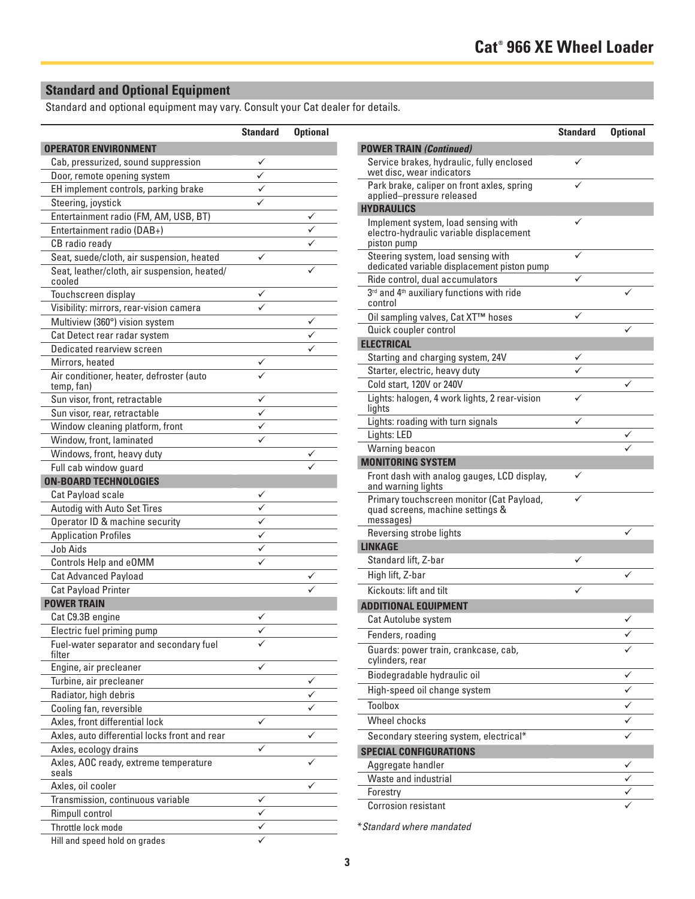# **Standard and Optional Equipment**

Standard and optional equipment may vary. Consult your Cat dealer for details.

|                                                        | <b>Standard</b>           | <b>Optional</b> |
|--------------------------------------------------------|---------------------------|-----------------|
| <b>OPERATOR ENVIRONMENT</b>                            |                           |                 |
| Cab, pressurized, sound suppression                    |                           |                 |
| Door, remote opening system                            |                           |                 |
| EH implement controls, parking brake                   | $\frac{\sqrt{}}{\sqrt{}}$ |                 |
| Steering, joystick                                     |                           |                 |
| Entertainment radio (FM, AM, USB, BT)                  |                           |                 |
| Entertainment radio (DAB+)                             |                           |                 |
| CB radio ready                                         |                           |                 |
| Seat, suede/cloth, air suspension, heated              | ✓                         |                 |
| Seat, leather/cloth, air suspension, heated/<br>cooled |                           |                 |
| Touchscreen display                                    |                           |                 |
| Visibility: mirrors, rear-vision camera                |                           |                 |
| Multiview (360°) vision system                         |                           |                 |
| Cat Detect rear radar system                           |                           |                 |
| Dedicated rearview screen                              |                           |                 |
| Mirrors, heated                                        | ✓                         |                 |
| Air conditioner, heater, defroster (auto<br>temp, fan) |                           |                 |
| Sun visor, front, retractable                          |                           |                 |
| Sun visor, rear, retractable                           |                           |                 |
| Window cleaning platform, front                        |                           |                 |
| Window, front, laminated                               |                           |                 |
| Windows, front, heavy duty                             |                           |                 |
| Full cab window guard                                  |                           |                 |
| <b>ON-BOARD TECHNOLOGIES</b>                           |                           |                 |
| Cat Payload scale                                      |                           |                 |
| Autodig with Auto Set Tires                            |                           |                 |
| Operator ID & machine security                         |                           |                 |
| <b>Application Profiles</b>                            | $\overline{\checkmark}$   |                 |
| Job Aids                                               |                           |                 |
| Controls Help and eOMM                                 |                           |                 |
| <b>Cat Advanced Payload</b>                            |                           |                 |
| <b>Cat Payload Printer</b>                             |                           |                 |
| <b>POWER TRAIN</b>                                     |                           |                 |
| Cat C9.3B engine                                       |                           |                 |
| Electric fuel priming pump                             |                           |                 |
| Fuel-water separator and secondary fuel<br>filter      |                           |                 |
| Engine, air precleaner                                 | ✓                         |                 |
| Turbine, air precleaner                                |                           | ✓               |
| Radiator, high debris                                  |                           | ✓               |
| Cooling fan, reversible                                |                           | ✓               |
| Axles, front differential lock                         | ✓                         |                 |
| Axles, auto differential locks front and rear          |                           | ✓               |
| Axles, ecology drains                                  | ✓                         |                 |
| Axles, AOC ready, extreme temperature<br>seals         |                           |                 |
| Axles, oil cooler                                      |                           |                 |
| Transmission, continuous variable                      |                           |                 |
| Rimpull control                                        |                           |                 |
| Throttle lock mode                                     |                           |                 |
| Hill and speed hold on grades                          |                           |                 |

| <b>Standard</b> | <b>Optional</b> |                                                                                               | <b>Standard</b> | <b>Optional</b> |
|-----------------|-----------------|-----------------------------------------------------------------------------------------------|-----------------|-----------------|
|                 |                 | <b>POWER TRAIN (Continued)</b>                                                                |                 |                 |
| ✓<br>✓          |                 | Service brakes, hydraulic, fully enclosed<br>wet disc, wear indicators                        | ✓               |                 |
| ✓               |                 | Park brake, caliper on front axles, spring<br>applied-pressure released                       |                 |                 |
| ✓               |                 | <b>HYDRAULICS</b>                                                                             |                 |                 |
|                 | ✓<br>✓<br>✓     | Implement system, load sensing with<br>electro-hydraulic variable displacement<br>piston pump | ✓               |                 |
| ✓               | ✓               | Steering system, load sensing with<br>dedicated variable displacement piston pump             |                 |                 |
|                 |                 | Ride control, dual accumulators                                                               | ✓               |                 |
| ✓               |                 | 3rd and 4th auxiliary functions with ride<br>control                                          |                 |                 |
|                 | ✓               | Oil sampling valves, Cat XT™ hoses                                                            | ✓               |                 |
|                 |                 | Quick coupler control                                                                         |                 | ✓               |
|                 |                 | <b>ELECTRICAL</b>                                                                             |                 |                 |
| ✓               |                 | Starting and charging system, 24V                                                             |                 |                 |
|                 |                 | Starter, electric, heavy duty                                                                 |                 |                 |
|                 |                 | Cold start, 120V or 240V                                                                      |                 | ✓               |
| ✓<br>✓          |                 | Lights: halogen, 4 work lights, 2 rear-vision<br>lights                                       |                 |                 |
| ✓               |                 | Lights: roading with turn signals                                                             | ✓               |                 |
| ✓               |                 | Lights: LED                                                                                   |                 | ✓               |
|                 | ✓               | Warning beacon                                                                                |                 |                 |
|                 |                 | <b>MONITORING SYSTEM</b>                                                                      |                 |                 |
|                 |                 | Front dash with analog gauges, LCD display,<br>and warning lights                             | ✓               |                 |
| ✓<br>✓          |                 | Primary touchscreen monitor (Cat Payload,<br>quad screens, machine settings &                 | ✓               |                 |
| ✓               |                 | messages)                                                                                     |                 |                 |
| ✓               |                 | Reversing strobe lights                                                                       |                 | ✓               |
| ✓               |                 | <b>LINKAGE</b>                                                                                |                 |                 |
| ✓               |                 | Standard lift, Z-bar                                                                          | ✓               |                 |
|                 | ✓               | High lift, Z-bar                                                                              |                 | ✓               |
|                 |                 | Kickouts: lift and tilt                                                                       |                 |                 |
|                 |                 | <b>ADDITIONAL EQUIPMENT</b>                                                                   |                 |                 |
| ✓               |                 | Cat Autolube system                                                                           |                 |                 |
|                 |                 | Fenders, roading                                                                              |                 |                 |
|                 |                 | Guards: power train, crankcase, cab,<br>cylinders, rear                                       |                 |                 |
|                 |                 | Biodegradable hydraulic oil                                                                   |                 | ✓               |
|                 | ✓               | High-speed oil change system                                                                  |                 | ✓               |
|                 | ✓               | Toolbox                                                                                       |                 | ✓               |
|                 | ✓               | Wheel chocks                                                                                  |                 | ✓               |
| ✓               |                 |                                                                                               |                 |                 |
|                 | ✓               | Secondary steering system, electrical*                                                        |                 | ✓               |
| ✓               | ✓               | <b>SPECIAL CONFIGURATIONS</b>                                                                 |                 |                 |
|                 |                 | Aggregate handler                                                                             |                 | ✓               |
|                 | ✓               | Waste and industrial                                                                          |                 | ✓               |
|                 |                 | Forestry                                                                                      |                 | ✓               |
|                 |                 | <b>Corrosion resistant</b>                                                                    |                 |                 |

\**Standard where mandated*